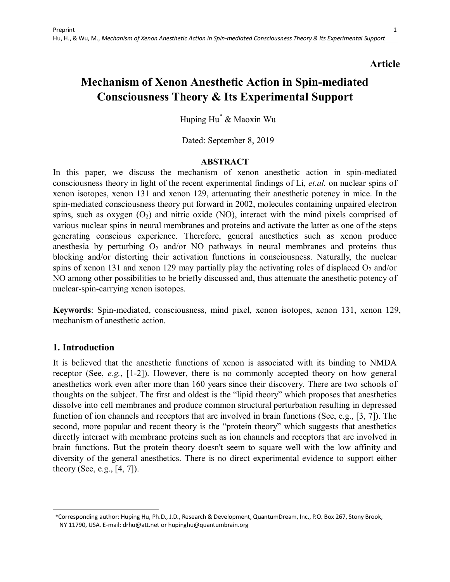#### **Article**

# **Mechanism of Xenon Anesthetic Action in Spin-mediated Consciousness Theory & Its Experimental Support**

Huping Hu\* & Maoxin Wu

Dated: September 8, 2019

#### **ABSTRACT**

In this paper, we discuss the mechanism of xenon anesthetic action in spin-mediated consciousness theory in light of the recent experimental findings of Li, *et.al.* on nuclear spins of xenon isotopes, xenon 131 and xenon 129, attenuating their anesthetic potency in mice. In the spin-mediated consciousness theory put forward in 2002, molecules containing unpaired electron spins, such as oxygen  $(O_2)$  and nitric oxide (NO), interact with the mind pixels comprised of various nuclear spins in neural membranes and proteins and activate the latter as one of the steps generating conscious experience. Therefore, general anesthetics such as xenon produce anesthesia by perturbing  $O_2$  and/or NO pathways in neural membranes and proteins thus blocking and/or distorting their activation functions in consciousness. Naturally, the nuclear spins of xenon 131 and xenon 129 may partially play the activating roles of displaced  $O_2$  and/or NO among other possibilities to be briefly discussed and, thus attenuate the anesthetic potency of nuclear-spin-carrying xenon isotopes.

**Keywords**: Spin-mediated, consciousness, mind pixel, xenon isotopes, xenon 131, xenon 129, mechanism of anesthetic action.

#### **1. Introduction**

 $\overline{a}$ 

It is believed that the anesthetic functions of xenon is associated with its binding to NMDA receptor (See, *e.g.*, [1-2]). However, there is no commonly accepted theory on how general anesthetics work even after more than 160 years since their discovery. There are two schools of thoughts on the subject. The first and oldest is the "lipid theory" which proposes that anesthetics dissolve into cell membranes and produce common structural perturbation resulting in depressed function of ion channels and receptors that are involved in brain functions (See, e.g., [3, 7]). The second, more popular and recent theory is the "protein theory" which suggests that anesthetics directly interact with membrane proteins such as ion channels and receptors that are involved in brain functions. But the protein theory doesn't seem to square well with the low affinity and diversity of the general anesthetics. There is no direct experimental evidence to support either theory (See, e.g., [4, 7]).

 <sup>\*</sup>Corresponding author: Huping Hu, Ph.D., J.D., Research & Development, QuantumDream, Inc., P.O. Box 267, Stony Brook, NY 11790, USA. E-mail: drhu@att.net or hupinghu@quantumbrain.org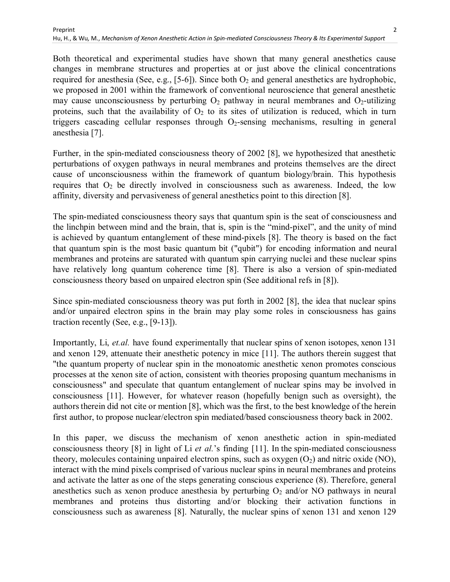Both theoretical and experimental studies have shown that many general anesthetics cause changes in membrane structures and properties at or just above the clinical concentrations required for anesthesia (See, e.g., [5-6]). Since both  $O_2$  and general anesthetics are hydrophobic, we proposed in 2001 within the framework of conventional neuroscience that general anesthetic may cause unconsciousness by perturbing  $O_2$  pathway in neural membranes and  $O_2$ -utilizing proteins, such that the availability of  $O_2$  to its sites of utilization is reduced, which in turn triggers cascading cellular responses through  $O<sub>2</sub>$ -sensing mechanisms, resulting in general anesthesia [7].

Further, in the spin-mediated consciousness theory of 2002 [8], we hypothesized that anesthetic perturbations of oxygen pathways in neural membranes and proteins themselves are the direct cause of unconsciousness within the framework of quantum biology/brain. This hypothesis requires that  $O_2$  be directly involved in consciousness such as awareness. Indeed, the low affinity, diversity and pervasiveness of general anesthetics point to this direction [8].

The spin-mediated consciousness theory says that quantum spin is the seat of consciousness and the linchpin between mind and the brain, that is, spin is the "mind-pixel", and the unity of mind is achieved by quantum entanglement of these mind-pixels [8]. The theory is based on the fact that quantum spin is the most basic quantum bit ("qubit") for encoding information and neural membranes and proteins are saturated with quantum spin carrying nuclei and these nuclear spins have relatively long quantum coherence time [8]. There is also a version of spin-mediated consciousness theory based on unpaired electron spin (See additional refs in [8]).

Since spin-mediated consciousness theory was put forth in 2002 [8], the idea that nuclear spins and/or unpaired electron spins in the brain may play some roles in consciousness has gains traction recently (See, e.g., [9-13]).

Importantly, Li, *et.al.* have found experimentally that nuclear spins of xenon isotopes, xenon 131 and xenon 129, attenuate their anesthetic potency in mice [11]. The authors therein suggest that "the quantum property of nuclear spin in the monoatomic anesthetic xenon promotes conscious processes at the xenon site of action, consistent with theories proposing quantum mechanisms in consciousness" and speculate that quantum entanglement of nuclear spins may be involved in consciousness [11]. However, for whatever reason (hopefully benign such as oversight), the authors therein did not cite or mention [8], which was the first, to the best knowledge of the herein first author, to propose nuclear/electron spin mediated/based consciousness theory back in 2002.

In this paper, we discuss the mechanism of xenon anesthetic action in spin-mediated consciousness theory [8] in light of Li *et al.*'s finding [11]. In the spin-mediated consciousness theory, molecules containing unpaired electron spins, such as oxygen  $(O_2)$  and nitric oxide (NO), interact with the mind pixels comprised of various nuclear spins in neural membranes and proteins and activate the latter as one of the steps generating conscious experience (8). Therefore, general anesthetics such as xenon produce anesthesia by perturbing  $O_2$  and/or NO pathways in neural membranes and proteins thus distorting and/or blocking their activation functions in consciousness such as awareness [8]. Naturally, the nuclear spins of xenon 131 and xenon 129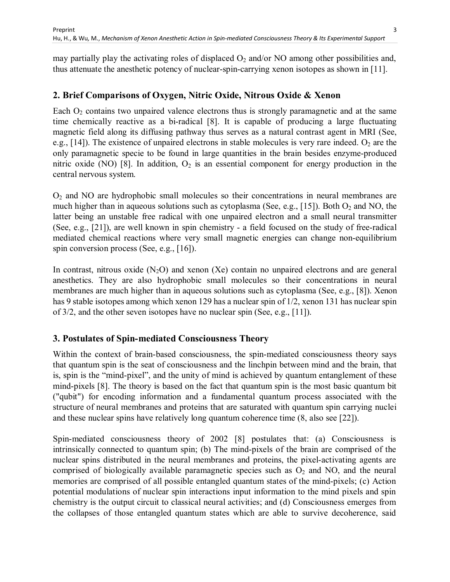may partially play the activating roles of displaced  $O_2$  and/or NO among other possibilities and, thus attenuate the anesthetic potency of nuclear-spin-carrying xenon isotopes as shown in [11].

# **2. Brief Comparisons of Oxygen, Nitric Oxide, Nitrous Oxide & Xenon**

Each  $O<sub>2</sub>$  contains two unpaired valence electrons thus is strongly paramagnetic and at the same time chemically reactive as a bi-radical [8]. It is capable of producing a large fluctuating magnetic field along its diffusing pathway thus serves as a natural contrast agent in MRI (See, e.g., [14]). The existence of unpaired electrons in stable molecules is very rare indeed.  $O_2$  are the only paramagnetic specie to be found in large quantities in the brain besides enzyme-produced nitric oxide (NO) [8]. In addition,  $O_2$  is an essential component for energy production in the central nervous system.

 $O<sub>2</sub>$  and NO are hydrophobic small molecules so their concentrations in neural membranes are much higher than in aqueous solutions such as cytoplasma (See, e.g., [15]). Both  $O_2$  and NO, the latter being an unstable free radical with one unpaired electron and a small neural transmitter (See, e.g., [21]), are well known in spin chemistry - a field focused on the study of free-radical mediated chemical reactions where very small magnetic energies can change non-equilibrium spin conversion process (See, e.g., [16]).

In contrast, nitrous oxide  $(N_2O)$  and xenon (Xe) contain no unpaired electrons and are general anesthetics. They are also hydrophobic small molecules so their concentrations in neural membranes are much higher than in aqueous solutions such as cytoplasma (See, e.g., [8]). Xenon has 9 stable isotopes among which xenon 129 has a nuclear spin of 1/2, xenon 131 has nuclear spin of  $3/2$ , and the other seven isotopes have no nuclear spin (See, e.g., [11]).

# **3. Postulates of Spin-mediated Consciousness Theory**

Within the context of brain-based consciousness, the spin-mediated consciousness theory says that quantum spin is the seat of consciousness and the linchpin between mind and the brain, that is, spin is the "mind-pixel", and the unity of mind is achieved by quantum entanglement of these mind-pixels [8]. The theory is based on the fact that quantum spin is the most basic quantum bit ("qubit") for encoding information and a fundamental quantum process associated with the structure of neural membranes and proteins that are saturated with quantum spin carrying nuclei and these nuclear spins have relatively long quantum coherence time (8, also see [22]).

Spin-mediated consciousness theory of 2002 [8] postulates that: (a) Consciousness is intrinsically connected to quantum spin; (b) The mind-pixels of the brain are comprised of the nuclear spins distributed in the neural membranes and proteins, the pixel-activating agents are comprised of biologically available paramagnetic species such as  $O_2$  and NO, and the neural memories are comprised of all possible entangled quantum states of the mind-pixels; (c) Action potential modulations of nuclear spin interactions input information to the mind pixels and spin chemistry is the output circuit to classical neural activities; and (d) Consciousness emerges from the collapses of those entangled quantum states which are able to survive decoherence, said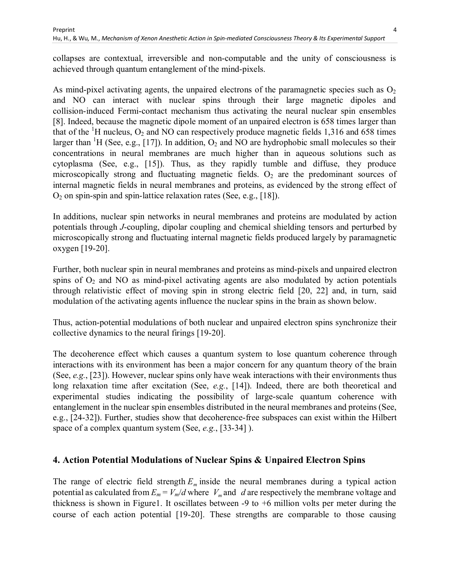collapses are contextual, irreversible and non-computable and the unity of consciousness is achieved through quantum entanglement of the mind-pixels.

As mind-pixel activating agents, the unpaired electrons of the paramagnetic species such as  $O<sub>2</sub>$ and NO can interact with nuclear spins through their large magnetic dipoles and collision-induced Fermi-contact mechanism thus activating the neural nuclear spin ensembles [8]. Indeed, because the magnetic dipole moment of an unpaired electron is 658 times larger than that of the  ${}^{1}$ H nucleus, O<sub>2</sub> and NO can respectively produce magnetic fields 1,316 and 658 times larger than <sup>1</sup>H (See, e.g., [17]). In addition,  $O_2$  and NO are hydrophobic small molecules so their concentrations in neural membranes are much higher than in aqueous solutions such as cytoplasma (See, e.g., [15]). Thus, as they rapidly tumble and diffuse, they produce microscopically strong and fluctuating magnetic fields.  $O_2$  are the predominant sources of internal magnetic fields in neural membranes and proteins, as evidenced by the strong effect of O2 on spin-spin and spin-lattice relaxation rates (See, e.g., [18]).

In additions, nuclear spin networks in neural membranes and proteins are modulated by action potentials through *J*-coupling, dipolar coupling and chemical shielding tensors and perturbed by microscopically strong and fluctuating internal magnetic fields produced largely by paramagnetic oxygen [19-20].

Further, both nuclear spin in neural membranes and proteins as mind-pixels and unpaired electron spins of  $O_2$  and NO as mind-pixel activating agents are also modulated by action potentials through relativistic effect of moving spin in strong electric field [20, 22] and, in turn, said modulation of the activating agents influence the nuclear spins in the brain as shown below.

Thus, action-potential modulations of both nuclear and unpaired electron spins synchronize their collective dynamics to the neural firings [19-20].

The decoherence effect which causes a quantum system to lose quantum coherence through interactions with its environment has been a major concern for any quantum theory of the brain (See, *e.g.*, [23]). However, nuclear spins only have weak interactions with their environments thus long relaxation time after excitation (See, *e.g.*, [14]). Indeed, there are both theoretical and experimental studies indicating the possibility of large-scale quantum coherence with entanglement in the nuclear spin ensembles distributed in the neural membranes and proteins (See, e.g., [24-32]). Further, studies show that decoherence-free subspaces can exist within the Hilbert space of a complex quantum system (See, *e.g.*, [33-34] ).

# **4. Action Potential Modulations of Nuclear Spins & Unpaired Electron Spins**

The range of electric field strength  $E_m$  inside the neural membranes during a typical action potential as calculated from  $E_m = V_m/d$  where  $V_m$  and  $d$  are respectively the membrane voltage and thickness is shown in Figure1. It oscillates between -9 to +6 million volts per meter during the course of each action potential [19-20]. These strengths are comparable to those causing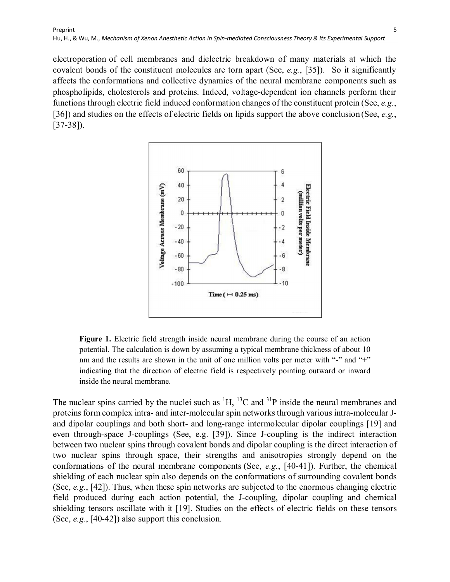electroporation of cell membranes and dielectric breakdown of many materials at which the covalent bonds of the constituent molecules are torn apart (See, *e.g.*, [35]). So it significantly affects the conformations and collective dynamics of the neural membrane components such as phospholipids, cholesterols and proteins. Indeed, voltage-dependent ion channels perform their functions through electric field induced conformation changes of the constituent protein (See, *e.g.*, [36]) and studies on the effects of electric fields on lipids support the above conclusion (See, *e.g.*, [37-38]).



**Figure 1.** Electric field strength inside neural membrane during the course of an action potential. The calculation is down by assuming a typical membrane thickness of about 10 nm and the results are shown in the unit of one million volts per meter with "-" and "+" indicating that the direction of electric field is respectively pointing outward or inward inside the neural membrane.

The nuclear spins carried by the nuclei such as  ${}^{1}H$ ,  ${}^{13}C$  and  ${}^{31}P$  inside the neural membranes and proteins form complex intra- and inter-molecular spin networks through various intra-molecular Jand dipolar couplings and both short- and long-range intermolecular dipolar couplings [19] and even through-space J-couplings (See, e.g. [39]). Since J-coupling is the indirect interaction between two nuclear spins through covalent bonds and dipolar coupling is the direct interaction of two nuclear spins through space, their strengths and anisotropies strongly depend on the conformations of the neural membrane components (See, *e.g.*, [40-41]). Further, the chemical shielding of each nuclear spin also depends on the conformations of surrounding covalent bonds (See, *e.g.*, [42]). Thus, when these spin networks are subjected to the enormous changing electric field produced during each action potential, the J-coupling, dipolar coupling and chemical shielding tensors oscillate with it [19]. Studies on the effects of electric fields on these tensors (See, *e.g.*, [40-42]) also support this conclusion.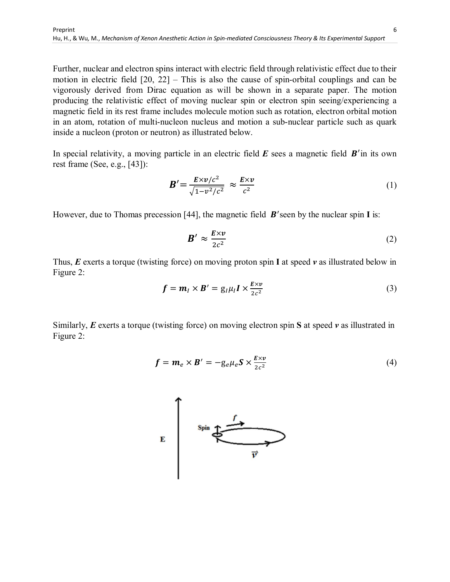Further, nuclear and electron spins interact with electric field through relativistic effect due to their motion in electric field [20, 22] – This is also the cause of spin-orbital couplings and can be vigorously derived from Dirac equation as will be shown in a separate paper. The motion producing the relativistic effect of moving nuclear spin or electron spin seeing/experiencing a magnetic field in its rest frame includes molecule motion such as rotation, electron orbital motion in an atom, rotation of multi-nucleon nucleus and motion a sub-nuclear particle such as quark inside a nucleon (proton or neutron) as illustrated below.

In special relativity, a moving particle in an electric field  $E$  sees a magnetic field  $B'$  in its own rest frame (See, e.g., [43]):

$$
\mathbf{B}' = \frac{E \times v/c^2}{\sqrt{1 - v^2/c^2}} \approx \frac{E \times v}{c^2} \tag{1}
$$

However, due to Thomas precession [44], the magnetic field  $B'$  seen by the nuclear spin I is:

$$
\boldsymbol{B}' \approx \frac{E \times v}{2c^2} \tag{2}
$$

Thus, *E* exerts a torque (twisting force) on moving proton spin **I** at speed *v* as illustrated below in Figure 2:

$$
\mathbf{f} = \mathbf{m}_I \times \mathbf{B}' = \mathbf{g}_I \mu_I \mathbf{I} \times \frac{\mathbf{E} \times \mathbf{v}}{2c^2}
$$
 (3)

Similarly, *E* exerts a torque (twisting force) on moving electron spin **S** at speed *v* as illustrated in Figure 2:

$$
\mathbf{f} = \mathbf{m}_e \times \mathbf{B}' = -\mathbf{g}_e \mu_e \mathbf{S} \times \frac{\mathbf{E} \times \mathbf{v}}{2c^2}
$$
 (4)

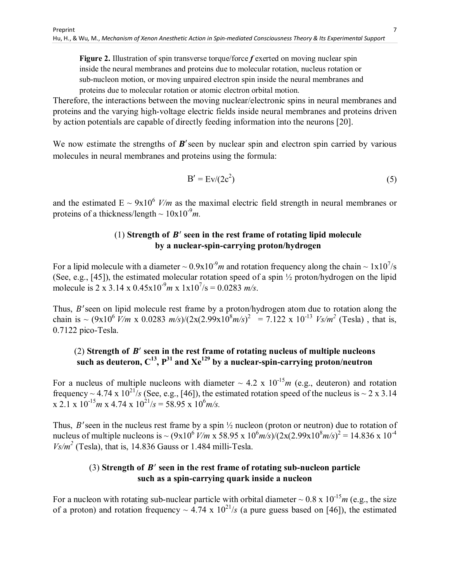**Figure 2.** Illustration of spin transverse torque/force *f* exerted on moving nuclear spin inside the neural membranes and proteins due to molecular rotation, nucleus rotation or sub-nucleon motion, or moving unpaired electron spin inside the neural membranes and proteins due to molecular rotation or atomic electron orbital motion.

Therefore, the interactions between the moving nuclear/electronic spins in neural membranes and proteins and the varying high-voltage electric fields inside neural membranes and proteins driven by action potentials are capable of directly feeding information into the neurons [20].

We now estimate the strengths of  $B'$  seen by nuclear spin and electron spin carried by various molecules in neural membranes and proteins using the formula:

$$
B' = Ev/(2c^2)
$$
 (5)

and the estimated  $E \sim 9x10^6$  *V/m* as the maximal electric field strength in neural membranes or proteins of a thickness/length  $\sim 10 \times 10^{-9}$ m.

## $(1)$  Strength of  $B'$  seen in the rest frame of rotating lipid molecule **by a nuclear-spin-carrying proton/hydrogen**

For a lipid molecule with a diameter  $\sim 0.9x10^{-9}m$  and rotation frequency along the chain  $\sim 1x10^7/s$ (See, e.g., [45]), the estimated molecular rotation speed of a spin ½ proton/hydrogen on the lipid molecule is 2 x 3.14 x  $0.45 \times 10^{-9}$  m x  $1 \times 10^{7}$ /s =  $0.0283$  m/s.

Thus, B'seen on lipid molecule rest frame by a proton/hydrogen atom due to rotation along the chain is  $\sim (9x10^6 V/m \times 0.0283 m/s)/(2x(2.99x10^8 m/s)^2 = 7.122 \times 10^{-13} V/s/m^2$  (Tesla), that is, 0.7122 pico-Tesla.

## $(2)$  Strength of  $B'$  seen in the rest frame of rotating nucleus of multiple nucleons such as deuteron,  $C^{13}$ ,  $P^{31}$  and  $Xe^{129}$  by a nuclear-spin-carrying proton/neutron

For a nucleus of multiple nucleons with diameter  $\sim 4.2 \times 10^{-15} m$  (e.g., deuteron) and rotation frequency  $\sim$  4.74 x 10<sup>21</sup>/s (See, e.g., [46]), the estimated rotation speed of the nucleus is  $\sim$  2 x 3.14  $x 2.1 x 10^{-15} m x 4.74 x 10^{21} / s = 58.95 x 10^{6} m/s.$ 

Thus, B'seen in the nucleus rest frame by a spin  $\frac{1}{2}$  nucleon (proton or neutron) due to rotation of nucleus of multiple nucleons is  $\sim (9x10^6 \text{ V/m x } 58.95 \text{ x } 10^6 \text{ m/s})/(2x(2.99x10^8 \text{ m/s})^2 = 14.836 \text{ x } 10^{-4}$  $V_s/m^2$  (Tesla), that is, 14.836 Gauss or 1.484 milli-Tesla.

## $(3)$  Strength of  $B'$  seen in the rest frame of rotating sub-nucleon particle **such as a spin-carrying quark inside a nucleon**

For a nucleon with rotating sub-nuclear particle with orbital diameter  $\sim 0.8$  x  $10^{-15}$ m (e.g., the size of a proton) and rotation frequency  $\sim$  4.74 x 10<sup>21</sup>/s (a pure guess based on [46]), the estimated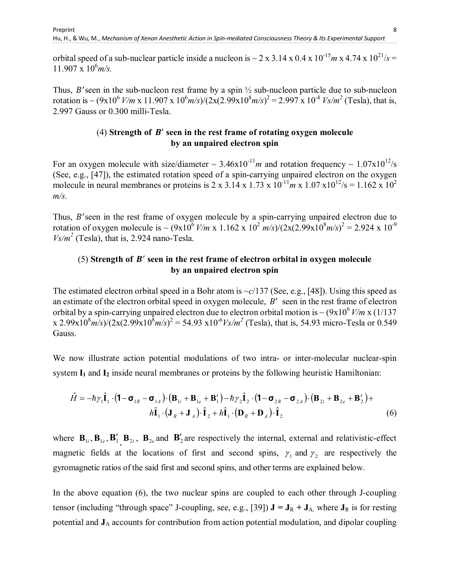orbital speed of a sub-nuclear particle inside a nucleon is  $\sim 2 \times 3.14 \times 0.4 \times 10^{-15}$  m x 4.74 x  $10^{21}/s$  =  $11.907 \times 10^6$  m/s.

Thus, B'seen in the sub-nucleon rest frame by a spin  $\frac{1}{2}$  sub-nucleon particle due to sub-nucleon rotation is  $\sim$  (9x10<sup>6</sup> *V/m* x 11.907 x 10<sup>6</sup>*m/s*)/(2x(2.99x10<sup>8</sup>*m/s*)<sup>2</sup> = 2.997 x 10<sup>-4</sup> *Vs/m*<sup>2</sup> (Tesla), that is, 2.997 Gauss or 0.300 milli-Tesla.

## (4) Strength of B' seen in the rest frame of rotating oxygen molecule **by an unpaired electron spin**

For an oxygen molecule with size/diameter  $\sim 3.46 \times 10^{-11} m$  and rotation frequency  $\sim 1.07 \times 10^{12} / s$ (See, e.g., [47]), the estimated rotation speed of a spin-carrying unpaired electron on the oxygen molecule in neural membranes or proteins is 2 x 3.14 x 1.73 x  $10^{-11}$ m x 1.07 x $10^{12}$ /s = 1.162 x  $10^{2}$ *m/s*.

Thus, B'seen in the rest frame of oxygen molecule by a spin-carrying unpaired electron due to rotation of oxygen molecule is ~  $(9x10^6 V/m \times 1.162 \times 10^2 m/s)/(2x(2.99x10^8 m/s)^2 = 2.924 \times 10^{-9}$  $V_s/m^2$  (Tesla), that is, 2.924 nano-Tesla.

## $(5)$  Strength of  $B'$  seen in the rest frame of electron orbital in oxygen molecule **by an unpaired electron spin**

The estimated electron orbital speed in a Bohr atom is *~c*/137 (See, e.g., [48]). Using this speed as an estimate of the electron orbital speed in oxygen molecule,  $B'$  seen in the rest frame of electron orbital by a spin-carrying unpaired electron due to electron orbital motion is  $\sim (9x10^6 V/m x (1/137))$  $x \frac{2.99x10^8 m}{s}$ /(2x(2.99x10<sup>8</sup> $m/s$ )<sup>2</sup> = 54.93 x10<sup>-6</sup>*Vs/m*<sup>2</sup> (Tesla), that is, 54.93 micro-Tesla or 0.549 Gauss.

We now illustrate action potential modulations of two intra- or inter-molecular nuclear-spin system **I1** and **I2** inside neural membranes or proteins by the following heuristic Hamiltonian:

$$
\hat{H} = -\hbar \gamma_1 \hat{\mathbf{I}}_1 \cdot (\mathbf{1} - \mathbf{\sigma}_{1R} - \mathbf{\sigma}_{1A}) \cdot (\mathbf{B}_{1i} + \mathbf{B}_{1e} + \mathbf{B}'_1) - \hbar \gamma_2 \hat{\mathbf{I}}_2 \cdot (\mathbf{1} - \mathbf{\sigma}_{2R} - \mathbf{\sigma}_{2A}) \cdot (\mathbf{B}_{2i} + \mathbf{B}_{2e} + \mathbf{B}'_2) +
$$
\n
$$
h \hat{\mathbf{I}}_1 \cdot (\mathbf{J}_R + \mathbf{J}_A) \cdot \hat{\mathbf{I}}_2 + h \hat{\mathbf{I}}_1 \cdot (\mathbf{D}_R + \mathbf{D}_A) \cdot \hat{\mathbf{I}}_2 \tag{6}
$$

where  $\mathbf{B}_{1i}$ ,  $\mathbf{B}_{1e}$ ,  $\mathbf{B}_{1}^{\prime}$ ,  $\mathbf{B}_{2i}$ ,  $\mathbf{B}_{2e}$  and  $\mathbf{B}_{2}^{\prime}$  are respectively the internal, external and relativistic-effect magnetic fields at the locations of first and second spins,  $\gamma_1$  and  $\gamma_2$  are respectively the gyromagnetic ratios of the said first and second spins, and other terms are explained below.

In the above equation (6), the two nuclear spins are coupled to each other through J-coupling tensor (including "through space" J-coupling, see, e.g., [39])  $J = J_R + J_A$ , where  $J_R$  is for resting potential and **J**A accounts for contribution from action potential modulation, and dipolar coupling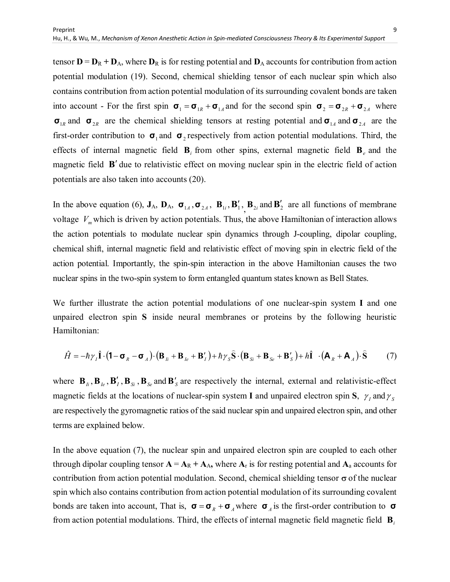tensor  $\mathbf{D} = \mathbf{D}_R + \mathbf{D}_A$ , where  $\mathbf{D}_R$  is for resting potential and  $\mathbf{D}_A$  accounts for contribution from action potential modulation (19). Second, chemical shielding tensor of each nuclear spin which also contains contribution from action potential modulation of its surrounding covalent bonds are taken into account - For the first spin  $\sigma_1 = \sigma_{1R} + \sigma_{1A}$  and for the second spin  $\sigma_2 = \sigma_{2R} + \sigma_{2A}$  where **σ**<sub>1*R*</sub> and **σ**<sub>2*R*</sub> are the chemical shielding tensors at resting potential and **σ**<sub>1*A*</sub> and **σ**<sub>2*A*</sub> are the first-order contribution to  $\sigma_1$  and  $\sigma_2$  respectively from action potential modulations. Third, the effects of internal magnetic field **B***<sup>i</sup>* from other spins, external magnetic field **B***<sup>e</sup>* and the magnetic field **B** due to relativistic effect on moving nuclear spin in the electric field of action potentials are also taken into accounts (20).

In the above equation (6),  $J_A$ ,  $D_A$ ,  $\sigma_{1A}$ ,  $\sigma_{2A}$ ,  $B_{1i}$ ,  $B'_1$ ,  $B_{2i}$  and  $B'_2$  are all functions of membrane voltage  $V_m$  which is driven by action potentials. Thus, the above Hamiltonian of interaction allows the action potentials to modulate nuclear spin dynamics through J-coupling, dipolar coupling, chemical shift, internal magnetic field and relativistic effect of moving spin in electric field of the action potential. Importantly, the spin-spin interaction in the above Hamiltonian causes the two nuclear spins in the two-spin system to form entangled quantum states known as Bell States.

We further illustrate the action potential modulations of one nuclear-spin system **I** and one unpaired electron spin **S** inside neural membranes or proteins by the following heuristic Hamiltonian:

$$
\hat{H} = -\hbar \gamma_I \hat{\mathbf{I}} \cdot (\mathbf{1} - \mathbf{\sigma}_R - \mathbf{\sigma}_A) \cdot (\mathbf{B}_{Ii} + \mathbf{B}_{Ie} + \mathbf{B}'_I) + \hbar \gamma_S \hat{\mathbf{S}} \cdot (\mathbf{B}_{Si} + \mathbf{B}_{Se} + \mathbf{B}'_S) + h \hat{\mathbf{I}} \cdot (\mathbf{A}_R + \mathbf{A}_A) \cdot \hat{\mathbf{S}} \tag{7}
$$

where  $\mathbf{B}_{I_i}, \mathbf{B}_{I_e}, \mathbf{B}'_I, \mathbf{B}_{S_i}, \mathbf{B}_{S_e}$  and  $\mathbf{B}'_S$  are respectively the internal, external and relativistic-effect magnetic fields at the locations of nuclear-spin system **I** and unpaired electron spin S,  $\gamma_I$  and  $\gamma_S$ are respectively the gyromagnetic ratios of the said nuclear spin and unpaired electron spin, and other terms are explained below.

In the above equation (7), the nuclear spin and unpaired electron spin are coupled to each other through dipolar coupling tensor  $A = A_R + A_A$ , where  $A_r$  is for resting potential and  $A_a$  accounts for contribution from action potential modulation. Second, chemical shielding tensor  $\sigma$  of the nuclear spin which also contains contribution from action potential modulation of its surrounding covalent bonds are taken into account, That is,  $\sigma = \sigma_R + \sigma_A$  where  $\sigma_A$  is the first-order contribution to  $\sigma$ from action potential modulations. Third, the effects of internal magnetic field magnetic field **B***i*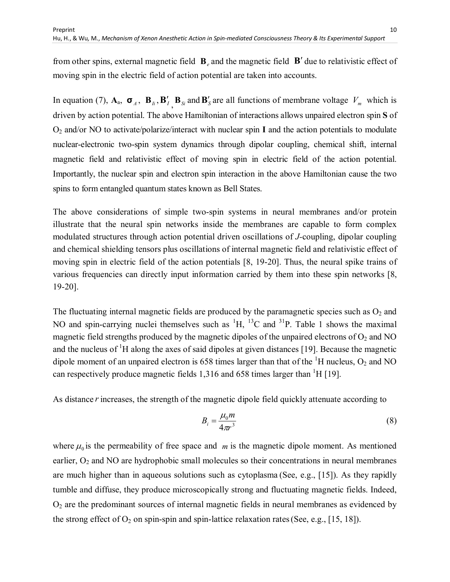from other spins, external magnetic field  $\mathbf{B}_e$  and the magnetic field  $\mathbf{B}'$  due to relativistic effect of moving spin in the electric field of action potential are taken into accounts.

In equation (7),  $A_a$ ,  $\sigma_A$ ,  $B_{I_i}$ ,  $B_{I_i}$ ,  $B_{S_i}$  and  $B_S$  are all functions of membrane voltage  $V_m$  which is driven by action potential. The above Hamiltonian of interactions allows unpaired electron spin **S** of O2 and/or NO to activate/polarize/interact with nuclear spin **I** and the action potentials to modulate nuclear-electronic two-spin system dynamics through dipolar coupling, chemical shift, internal magnetic field and relativistic effect of moving spin in electric field of the action potential. Importantly, the nuclear spin and electron spin interaction in the above Hamiltonian cause the two spins to form entangled quantum states known as Bell States.

The above considerations of simple two-spin systems in neural membranes and/or protein illustrate that the neural spin networks inside the membranes are capable to form complex modulated structures through action potential driven oscillations of *J-*coupling, dipolar coupling and chemical shielding tensors plus oscillations of internal magnetic field and relativistic effect of moving spin in electric field of the action potentials [8, 19-20]. Thus, the neural spike trains of various frequencies can directly input information carried by them into these spin networks [8, 19-20].

The fluctuating internal magnetic fields are produced by the paramagnetic species such as  $O_2$  and NO and spin-carrying nuclei themselves such as  ${}^{1}H$ ,  ${}^{13}C$  and  ${}^{31}P$ . Table 1 shows the maximal magnetic field strengths produced by the magnetic dipoles of the unpaired electrons of  $O_2$  and NO and the nucleus of <sup>1</sup>H along the axes of said dipoles at given distances [19]. Because the magnetic dipole moment of an unpaired electron is 658 times larger than that of the  ${}^{1}H$  nucleus, O<sub>2</sub> and NO can respectively produce magnetic fields  $1,316$  and  $658$  times larger than  $H[19]$ .

As distance *r* increases, the strength of the magnetic dipole field quickly attenuate according to

$$
B_i = \frac{\mu_0 m}{4\pi r^3} \tag{8}
$$

where  $\mu_0$  is the permeability of free space and *m* is the magnetic dipole moment. As mentioned earlier,  $O_2$  and NO are hydrophobic small molecules so their concentrations in neural membranes are much higher than in aqueous solutions such as cytoplasma (See, e.g., [15]). As they rapidly tumble and diffuse, they produce microscopically strong and fluctuating magnetic fields. Indeed,  $O<sub>2</sub>$  are the predominant sources of internal magnetic fields in neural membranes as evidenced by the strong effect of  $O_2$  on spin-spin and spin-lattice relaxation rates (See, e.g., [15, 18]).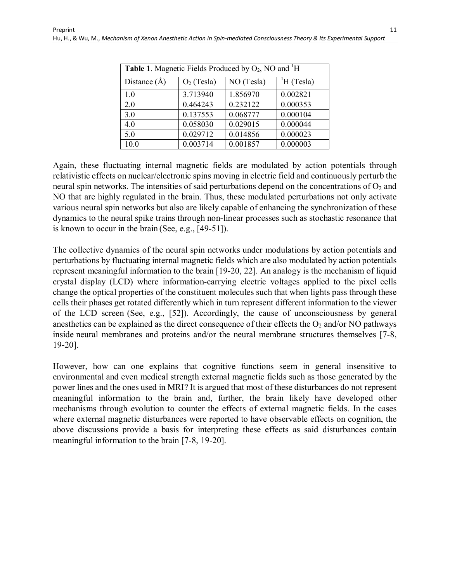| <b>Table 1.</b> Magnetic Fields Produced by $O_2$ , NO and <sup>1</sup> H |              |            |             |
|---------------------------------------------------------------------------|--------------|------------|-------------|
| Distance $(\AA)$                                                          | $O2$ (Tesla) | NO (Tesla) | $H$ (Tesla) |
| 1.0                                                                       | 3.713940     | 1.856970   | 0.002821    |
| 2.0                                                                       | 0.464243     | 0.232122   | 0.000353    |
| 3.0                                                                       | 0.137553     | 0.068777   | 0.000104    |
| 4.0                                                                       | 0.058030     | 0.029015   | 0.000044    |
| 5.0                                                                       | 0.029712     | 0.014856   | 0.000023    |
| 10.0                                                                      | 0.003714     | 0.001857   | 0.000003    |

Again, these fluctuating internal magnetic fields are modulated by action potentials through relativistic effects on nuclear/electronic spins moving in electric field and continuously perturb the neural spin networks. The intensities of said perturbations depend on the concentrations of  $O_2$  and NO that are highly regulated in the brain. Thus, these modulated perturbations not only activate various neural spin networks but also are likely capable of enhancing the synchronization of these dynamics to the neural spike trains through non-linear processes such as stochastic resonance that is known to occur in the brain (See, e.g., [49-51]).

The collective dynamics of the neural spin networks under modulations by action potentials and perturbations by fluctuating internal magnetic fields which are also modulated by action potentials represent meaningful information to the brain [19-20, 22]. An analogy is the mechanism of liquid crystal display (LCD) where information-carrying electric voltages applied to the pixel cells change the optical properties of the constituent molecules such that when lights pass through these cells their phases get rotated differently which in turn represent different information to the viewer of the LCD screen (See, e.g., [52]). Accordingly, the cause of unconsciousness by general anesthetics can be explained as the direct consequence of their effects the  $O_2$  and/or NO pathways inside neural membranes and proteins and/or the neural membrane structures themselves [7-8, 19-20].

However, how can one explains that cognitive functions seem in general insensitive to environmental and even medical strength external magnetic fields such as those generated by the power lines and the ones used in MRI? It is argued that most of these disturbances do not represent meaningful information to the brain and, further, the brain likely have developed other mechanisms through evolution to counter the effects of external magnetic fields. In the cases where external magnetic disturbances were reported to have observable effects on cognition, the above discussions provide a basis for interpreting these effects as said disturbances contain meaningful information to the brain [7-8, 19-20].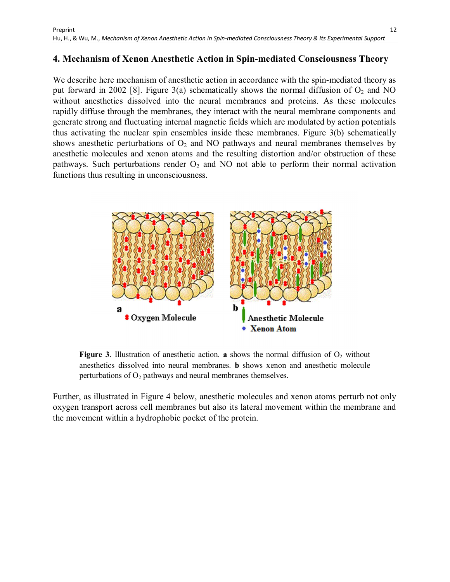#### **4. Mechanism of Xenon Anesthetic Action in Spin-mediated Consciousness Theory**

We describe here mechanism of anesthetic action in accordance with the spin-mediated theory as put forward in 2002 [8]. Figure 3(a) schematically shows the normal diffusion of  $O_2$  and NO without anesthetics dissolved into the neural membranes and proteins. As these molecules rapidly diffuse through the membranes, they interact with the neural membrane components and generate strong and fluctuating internal magnetic fields which are modulated by action potentials thus activating the nuclear spin ensembles inside these membranes. Figure 3(b) schematically shows anesthetic perturbations of  $O_2$  and NO pathways and neural membranes themselves by anesthetic molecules and xenon atoms and the resulting distortion and/or obstruction of these pathways. Such perturbations render  $O_2$  and NO not able to perform their normal activation functions thus resulting in unconsciousness.



**Figure 3**. Illustration of anesthetic action. **a** shows the normal diffusion of  $O_2$  without anesthetics dissolved into neural membranes. **b** shows xenon and anesthetic molecule perturbations of  $O_2$  pathways and neural membranes themselves.

Further, as illustrated in Figure 4 below, anesthetic molecules and xenon atoms perturb not only oxygen transport across cell membranes but also its lateral movement within the membrane and the movement within a hydrophobic pocket of the protein.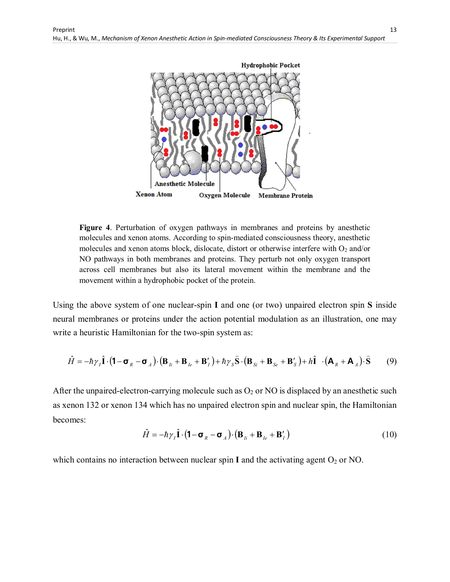

**Figure 4**. Perturbation of oxygen pathways in membranes and proteins by anesthetic molecules and xenon atoms. According to spin-mediated consciousness theory, anesthetic molecules and xenon atoms block, dislocate, distort or otherwise interfere with  $O_2$  and/or NO pathways in both membranes and proteins. They perturb not only oxygen transport across cell membranes but also its lateral movement within the membrane and the movement within a hydrophobic pocket of the protein.

Using the above system of one nuclear-spin **I** and one (or two) unpaired electron spin **S** inside neural membranes or proteins under the action potential modulation as an illustration, one may write a heuristic Hamiltonian for the two-spin system as:

$$
\hat{H} = -\hbar \gamma_I \hat{\mathbf{I}} \cdot (\mathbf{1} - \mathbf{\sigma}_R - \mathbf{\sigma}_A) \cdot (\mathbf{B}_{I} + \mathbf{B}_{I} + \mathbf{B}'_I) + \hbar \gamma_S \hat{\mathbf{S}} \cdot (\mathbf{B}_{S} + \mathbf{B}_{S} + \mathbf{B}'_S) + h \hat{\mathbf{I}} \cdot (\mathbf{A}_{I} + \mathbf{A}_{I}) \cdot \hat{\mathbf{S}} \tag{9}
$$

After the unpaired-electron-carrying molecule such as  $O_2$  or NO is displaced by an anesthetic such as xenon 132 or xenon 134 which has no unpaired electron spin and nuclear spin, the Hamiltonian becomes:

$$
\hat{H} = -\hbar \gamma_I \hat{\mathbf{I}} \cdot (\mathbf{1} - \mathbf{\sigma}_R - \mathbf{\sigma}_A) \cdot (\mathbf{B}_{Ii} + \mathbf{B}_{Ie} + \mathbf{B}'_I)
$$
\n(10)

which contains no interaction between nuclear spin  $I$  and the activating agent  $O_2$  or NO.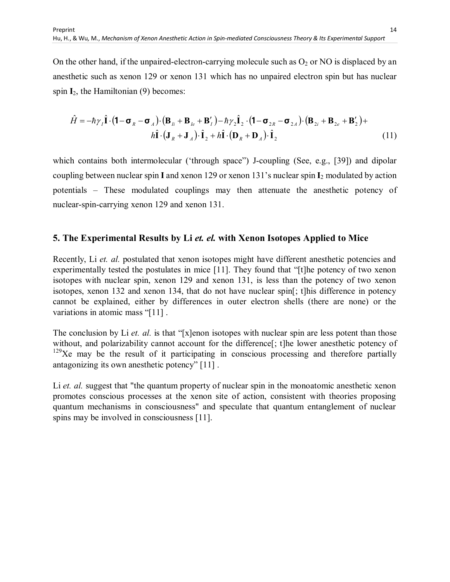On the other hand, if the unpaired-electron-carrying molecule such as  $O<sub>2</sub>$  or NO is displaced by an anesthetic such as xenon 129 or xenon 131 which has no unpaired electron spin but has nuclear spin  $I_2$ , the Hamiltonian  $(9)$  becomes:

$$
\hat{H} = -\hbar \gamma_I \hat{\mathbf{i}} \cdot (\mathbf{1} - \mathbf{\sigma}_R - \mathbf{\sigma}_A) \cdot (\mathbf{B}_{Ii} + \mathbf{B}_{Ie} + \mathbf{B}'_I) - \hbar \gamma_2 \hat{\mathbf{i}}_2 \cdot (\mathbf{1} - \mathbf{\sigma}_{2R} - \mathbf{\sigma}_{2A}) \cdot (\mathbf{B}_{2i} + \mathbf{B}_{2e} + \mathbf{B}'_2) +
$$
\n
$$
h \hat{\mathbf{i}} \cdot (\mathbf{J}_R + \mathbf{J}_A) \cdot \hat{\mathbf{i}}_2 + h \hat{\mathbf{i}} \cdot (\mathbf{D}_R + \mathbf{D}_A) \cdot \hat{\mathbf{i}}_2 \tag{11}
$$

which contains both intermolecular ('through space'') J-coupling (See, e.g., [39]) and dipolar coupling between nuclear spin **I** and xenon 129 or xenon 131's nuclear spin **I**2 modulated by action potentials – These modulated couplings may then attenuate the anesthetic potency of nuclear-spin-carrying xenon 129 and xenon 131.

#### **5. The Experimental Results by Li** *et. el.* **with Xenon Isotopes Applied to Mice**

Recently, Li *et. al.* postulated that xenon isotopes might have different anesthetic potencies and experimentally tested the postulates in mice [11]. They found that "[t]he potency of two xenon isotopes with nuclear spin, xenon 129 and xenon 131, is less than the potency of two xenon isotopes, xenon 132 and xenon 134, that do not have nuclear spin<sub>[</sub>; t]his difference in potency cannot be explained, either by differences in outer electron shells (there are none) or the variations in atomic mass "[11] .

The conclusion by Li et. al. is that "[x]enon isotopes with nuclear spin are less potent than those without, and polarizability cannot account for the difference[; t]he lower anesthetic potency of  $129$ Xe may be the result of it participating in conscious processing and therefore partially antagonizing its own anesthetic potency" [11] .

Li *et. al.* suggest that "the quantum property of nuclear spin in the monoatomic anesthetic xenon promotes conscious processes at the xenon site of action, consistent with theories proposing quantum mechanisms in consciousness" and speculate that quantum entanglement of nuclear spins may be involved in consciousness [11].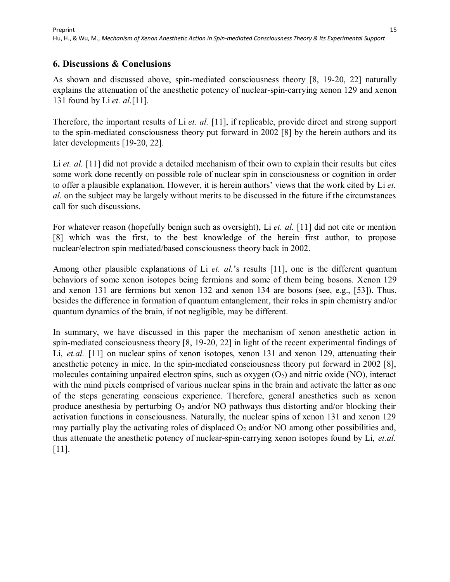# **6. Discussions & Conclusions**

As shown and discussed above, spin-mediated consciousness theory [8, 19-20, 22] naturally explains the attenuation of the anesthetic potency of nuclear-spin-carrying xenon 129 and xenon 131 found by Li *et. al.*[11].

Therefore, the important results of Li *et. al.* [11], if replicable, provide direct and strong support to the spin-mediated consciousness theory put forward in 2002 [8] by the herein authors and its later developments [19-20, 22].

Li et. al. [11] did not provide a detailed mechanism of their own to explain their results but cites some work done recently on possible role of nuclear spin in consciousness or cognition in order to offer a plausible explanation. However, it is herein authors' views that the work cited by Li *et. al.* on the subject may be largely without merits to be discussed in the future if the circumstances call for such discussions.

For whatever reason (hopefully benign such as oversight), Li *et. al.* [11] did not cite or mention [8] which was the first, to the best knowledge of the herein first author, to propose nuclear/electron spin mediated/based consciousness theory back in 2002.

Among other plausible explanations of Li *et. al.*'s results [11], one is the different quantum behaviors of some xenon isotopes being fermions and some of them being bosons. Xenon 129 and xenon 131 are fermions but xenon 132 and xenon 134 are bosons (see, e.g., [53]). Thus, besides the difference in formation of quantum entanglement, their roles in spin chemistry and/or quantum dynamics of the brain, if not negligible, may be different.

In summary, we have discussed in this paper the mechanism of xenon anesthetic action in spin-mediated consciousness theory [8, 19-20, 22] in light of the recent experimental findings of Li, *et.al.* [11] on nuclear spins of xenon isotopes, xenon 131 and xenon 129, attenuating their anesthetic potency in mice. In the spin-mediated consciousness theory put forward in 2002 [8], molecules containing unpaired electron spins, such as oxygen  $(O_2)$  and nitric oxide  $(NO)$ , interact with the mind pixels comprised of various nuclear spins in the brain and activate the latter as one of the steps generating conscious experience. Therefore, general anesthetics such as xenon produce anesthesia by perturbing  $O_2$  and/or NO pathways thus distorting and/or blocking their activation functions in consciousness. Naturally, the nuclear spins of xenon 131 and xenon 129 may partially play the activating roles of displaced  $O_2$  and/or NO among other possibilities and, thus attenuate the anesthetic potency of nuclear-spin-carrying xenon isotopes found by Li, *et.al.*  [11].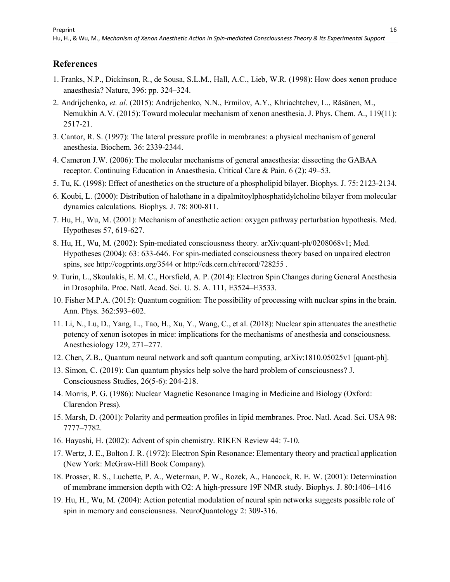# **References**

- 1. Franks, N.P., Dickinson, R., de Sousa, S.L.M., Hall, A.C., Lieb, W.R. (1998): How does xenon produce anaesthesia? Nature, 396: pp. 324–324.
- 2. Andrijchenko, *et. al.* (2015): Andrijchenko, N.N., Ermilov, A.Y., Khriachtchev, L., Räsänen, M., Nemukhin A.V. (2015): Toward molecular mechanism of xenon anesthesia. J. Phys. Chem. A., 119(11): 2517-21.
- 3. Cantor, R. S. (1997): The lateral pressure profile in membranes: a physical mechanism of general anesthesia. Biochem. 36: 2339-2344.
- 4. Cameron J.W. (2006): The molecular mechanisms of general anaesthesia: dissecting the GABAA receptor. Continuing Education in Anaesthesia. Critical Care & Pain. 6 (2): 49–53.
- 5. Tu, K. (1998): Effect of anesthetics on the structure of a phospholipid bilayer. Biophys. J. 75: 2123-2134.
- 6. Koubi, L. (2000): Distribution of halothane in a dipalmitoylphosphatidylcholine bilayer from molecular dynamics calculations. Biophys. J. 78: 800-811.
- 7. Hu, H., Wu, M. (2001): Mechanism of anesthetic action: oxygen pathway perturbation hypothesis. Med. Hypotheses 57, 619-627.
- 8. Hu, H., Wu, M. (2002): Spin-mediated consciousness theory. arXiv:quant-ph/0208068v1; Med. Hypotheses (2004): 63: 633-646. For spin-mediated consciousness theory based on unpaired electron spins, see http://cogprints.org/3544 or http://cds.cern.ch/record/728255.
- 9. Turin, L., Skoulakis, E. M. C., Horsfield, A. P. (2014): Electron Spin Changes during General Anesthesia in Drosophila. Proc. Natl. Acad. Sci. U. S. A. 111, E3524–E3533.
- 10. Fisher M.P.A. (2015): Quantum cognition: The possibility of processing with nuclear spins in the brain. Ann. Phys. 362:593–602.
- 11. Li, N., Lu, D., Yang, L., Tao, H., Xu, Y., Wang, C., et al. (2018): Nuclear spin attenuates the anesthetic potency of xenon isotopes in mice: implications for the mechanisms of anesthesia and consciousness. Anesthesiology 129, 271–277.
- 12. Chen, Z.B., Quantum neural network and soft quantum computing, arXiv:1810.05025v1 [quant-ph].
- 13. Simon, C. (2019): Can quantum physics help solve the hard problem of consciousness? J. Consciousness Studies, 26(5-6): 204-218.
- 14. Morris, P. G. (1986): Nuclear Magnetic Resonance Imaging in Medicine and Biology (Oxford: Clarendon Press).
- 15. Marsh, D. (2001): Polarity and permeation profiles in lipid membranes. Proc. Natl. Acad. Sci. USA 98: 7777–7782.
- 16. Hayashi, H. (2002): Advent of spin chemistry. RIKEN Review 44: 7-10.
- 17. Wertz, J. E., Bolton J. R. (1972): Electron Spin Resonance: Elementary theory and practical application (New York: McGraw-Hill Book Company).
- 18. Prosser, R. S., Luchette, P. A., Weterman, P. W., Rozek, A., Hancock, R. E. W. (2001): Determination of membrane immersion depth with O2: A high-pressure 19F NMR study. Biophys. J. 80:1406–1416
- 19. Hu, H., Wu, M. (2004): Action potential modulation of neural spin networks suggests possible role of spin in memory and consciousness. NeuroQuantology 2: 309-316.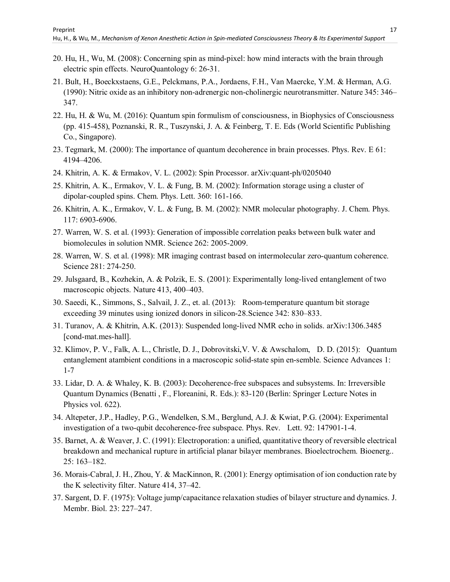- 17
- 20. Hu, H., Wu, M. (2008): Concerning spin as mind-pixel: how mind interacts with the brain through electric spin effects. NeuroQuantology 6: 26-31.
- 21. Bult, H., Boeckxstaens, G.E., Pelckmans, P.A., Jordaens, F.H., Van Maercke, Y.M. & Herman, A.G. (1990): Nitric oxide as an inhibitory non-adrenergic non-cholinergic neurotransmitter. Nature 345: 346– 347.
- 22. Hu, H. & Wu, M. (2016): Quantum spin formulism of consciousness, in Biophysics of Consciousness (pp. 415-458), Poznanski, R. R., Tuszynski, J. A. & Feinberg, T. E. Eds (World Scientific Publishing Co., Singapore).
- 23. Tegmark, M. (2000): The importance of quantum decoherence in brain processes. Phys. Rev. E 61: 4194–4206.
- 24. Khitrin, A. K. & Ermakov, V. L. (2002): Spin Processor. arXiv:quant-ph/0205040
- 25. Khitrin, A. K., Ermakov, V. L. & Fung, B. M. (2002): Information storage using a cluster of dipolar-coupled spins. Chem. Phys. Lett. 360: 161-166.
- 26. Khitrin, A. K., Ermakov, V. L. & Fung, B. M. (2002): NMR molecular photography. J. Chem. Phys. 117: 6903-6906.
- 27. Warren, W. S. et al. (1993): Generation of impossible correlation peaks between bulk water and biomolecules in solution NMR. Science 262: 2005-2009.
- 28. Warren, W. S. et al. (1998): MR imaging contrast based on intermolecular zero-quantum coherence. Science 281: 274-250.
- 29. Julsgaard, B., Kozhekin, A. & Polzik, E. S. (2001): Experimentally long-lived entanglement of two macroscopic objects. Nature 413, 400–403.
- 30. Saeedi, K., Simmons, S., Salvail, J. Z., et. al. (2013): Room-temperature quantum bit storage exceeding 39 minutes using ionized donors in silicon-28.Science 342: 830–833.
- 31. Turanov, A. & Khitrin, A.K. (2013): Suspended long-lived NMR echo in solids. arXiv:1306.3485 [cond-mat.mes-hall].
- 32. Klimov, P. V., Falk, A. L., Christle, D. J., Dobrovitski,V. V. & Awschalom, D. D. (2015): Quantum entanglement atambient conditions in a macroscopic solid-state spin en-semble. Science Advances 1: 1-7
- 33. Lidar, D. A. & Whaley, K. B. (2003): Decoherence-free subspaces and subsystems. In: Irreversible Quantum Dynamics (Benatti , F., Floreanini, R. Eds.): 83-120 (Berlin: Springer Lecture Notes in Physics vol. 622).
- 34. Altepeter, J.P., Hadley, P.G., Wendelken, S.M., Berglund, A.J. & Kwiat, P.G. (2004): Experimental investigation of a two-qubit decoherence-free subspace. Phys. Rev. Lett. 92: 147901-1-4.
- 35. Barnet, A. & Weaver, J. C. (1991): Electroporation: a unified, quantitative theory of reversible electrical breakdown and mechanical rupture in artificial planar bilayer membranes. Bioelectrochem. Bioenerg.. 25: 163–182.
- 36. Morais-Cabral, J. H., Zhou, Y. & MacKinnon, R. (2001): Energy optimisation of ion conduction rate by the K selectivity filter. Nature 414, 37–42.
- 37. Sargent, D. F. (1975): Voltage jump/capacitance relaxation studies of bilayer structure and dynamics. J. Membr. Biol. 23: 227–247.